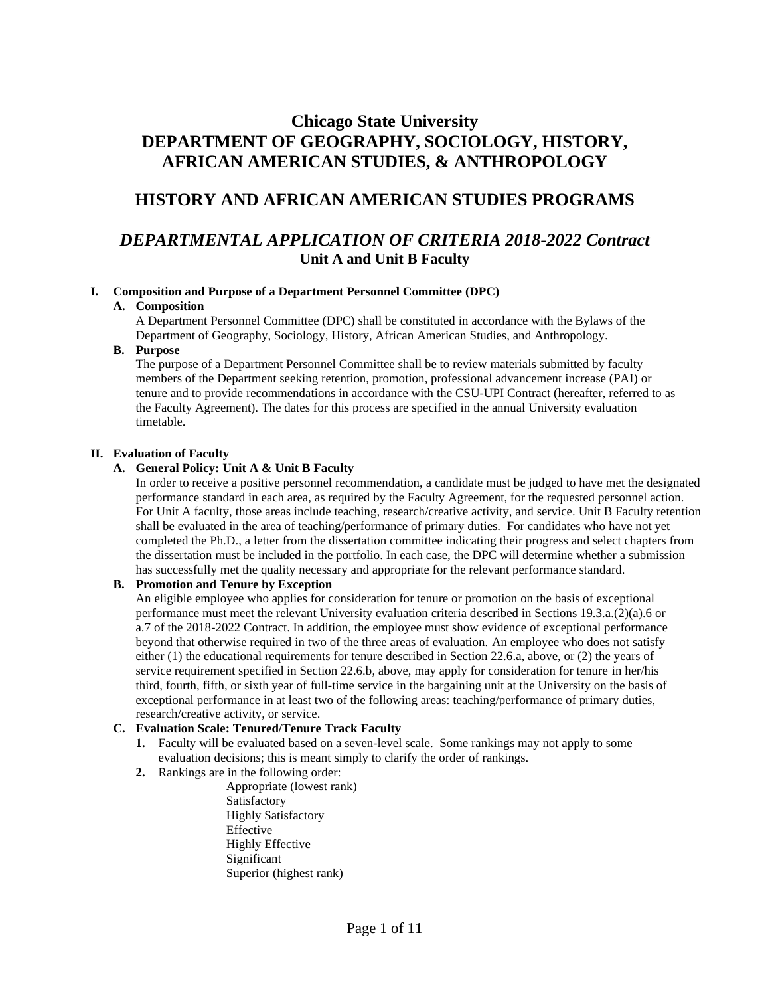# **Chicago State University DEPARTMENT OF GEOGRAPHY, SOCIOLOGY, HISTORY, AFRICAN AMERICAN STUDIES, & ANTHROPOLOGY**

## **HISTORY AND AFRICAN AMERICAN STUDIES PROGRAMS**

## *DEPARTMENTAL APPLICATION OF CRITERIA 2018-2022 Contract* **Unit A and Unit B Faculty**

## **I. Composition and Purpose of a Department Personnel Committee (DPC)**

## **A. Composition**

A Department Personnel Committee (DPC) shall be constituted in accordance with the Bylaws of the Department of Geography, Sociology, History, African American Studies, and Anthropology.

## **B. Purpose**

The purpose of a Department Personnel Committee shall be to review materials submitted by faculty members of the Department seeking retention, promotion, professional advancement increase (PAI) or tenure and to provide recommendations in accordance with the CSU-UPI Contract (hereafter, referred to as the Faculty Agreement). The dates for this process are specified in the annual University evaluation timetable.

## **II. Evaluation of Faculty**

## **A. General Policy: Unit A & Unit B Faculty**

In order to receive a positive personnel recommendation, a candidate must be judged to have met the designated performance standard in each area, as required by the Faculty Agreement, for the requested personnel action. For Unit A faculty, those areas include teaching, research/creative activity, and service. Unit B Faculty retention shall be evaluated in the area of teaching/performance of primary duties. For candidates who have not yet completed the Ph.D., a letter from the dissertation committee indicating their progress and select chapters from the dissertation must be included in the portfolio. In each case, the DPC will determine whether a submission has successfully met the quality necessary and appropriate for the relevant performance standard.

## **B. Promotion and Tenure by Exception**

An eligible employee who applies for consideration for tenure or promotion on the basis of exceptional performance must meet the relevant University evaluation criteria described in Sections 19.3.a.(2)(a).6 or a.7 of the 2018-2022 Contract. In addition, the employee must show evidence of exceptional performance beyond that otherwise required in two of the three areas of evaluation. An employee who does not satisfy either (1) the educational requirements for tenure described in Section 22.6.a, above, or (2) the years of service requirement specified in Section 22.6.b, above, may apply for consideration for tenure in her/his third, fourth, fifth, or sixth year of full-time service in the bargaining unit at the University on the basis of exceptional performance in at least two of the following areas: teaching/performance of primary duties, research/creative activity, or service.

## **C. Evaluation Scale: Tenured/Tenure Track Faculty**

- **1.** Faculty will be evaluated based on a seven-level scale. Some rankings may not apply to some evaluation decisions; this is meant simply to clarify the order of rankings.
- **2.** Rankings are in the following order:

Appropriate (lowest rank) Satisfactory Highly Satisfactory Effective Highly Effective Significant Superior (highest rank)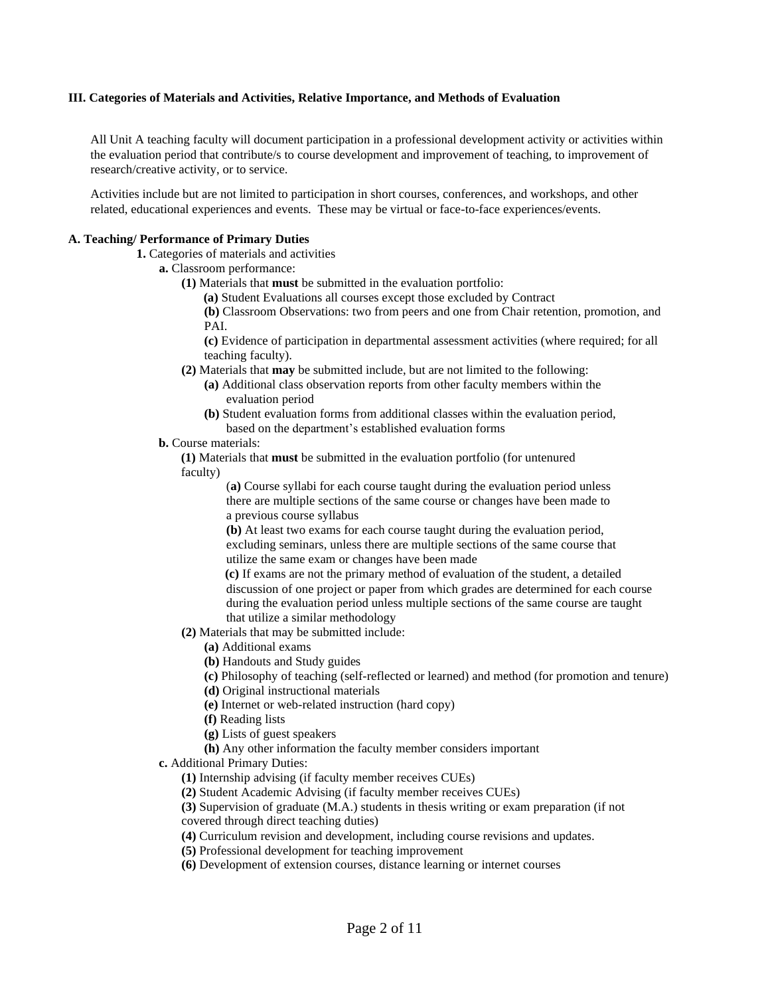#### **III. Categories of Materials and Activities, Relative Importance, and Methods of Evaluation**

All Unit A teaching faculty will document participation in a professional development activity or activities within the evaluation period that contribute/s to course development and improvement of teaching, to improvement of research/creative activity, or to service.

Activities include but are not limited to participation in short courses, conferences, and workshops, and other related, educational experiences and events. These may be virtual or face-to-face experiences/events.

#### **A. Teaching/ Performance of Primary Duties**

**1.** Categories of materials and activities

- **a.** Classroom performance:
	- **(1)** Materials that **must** be submitted in the evaluation portfolio:
		- **(a)** Student Evaluations all courses except those excluded by Contract

**(b)** Classroom Observations: two from peers and one from Chair retention, promotion, and PAI.

**(c)** Evidence of participation in departmental assessment activities (where required; for all teaching faculty).

- **(2)** Materials that **may** be submitted include, but are not limited to the following:
	- **(a)** Additional class observation reports from other faculty members within the evaluation period
		- **(b)** Student evaluation forms from additional classes within the evaluation period, based on the department's established evaluation forms

#### **b.** Course materials:

**(1)** Materials that **must** be submitted in the evaluation portfolio (for untenured faculty)

> (**a)** Course syllabi for each course taught during the evaluation period unless there are multiple sections of the same course or changes have been made to a previous course syllabus

**(b)** At least two exams for each course taught during the evaluation period, excluding seminars, unless there are multiple sections of the same course that utilize the same exam or changes have been made

 **(c)** If exams are not the primary method of evaluation of the student, a detailed discussion of one project or paper from which grades are determined for each course during the evaluation period unless multiple sections of the same course are taught that utilize a similar methodology

- **(2)** Materials that may be submitted include:
	- **(a)** Additional exams

**(b)** Handouts and Study guides

- **(c)** Philosophy of teaching (self-reflected or learned) and method (for promotion and tenure)
- **(d)** Original instructional materials
- **(e)** Internet or web-related instruction (hard copy)
- **(f)** Reading lists
- **(g)** Lists of guest speakers
- **(h)** Any other information the faculty member considers important
- **c.** Additional Primary Duties:
	- **(1)** Internship advising (if faculty member receives CUEs)
	- **(2)** Student Academic Advising (if faculty member receives CUEs)

**(3)** Supervision of graduate (M.A.) students in thesis writing or exam preparation (if not covered through direct teaching duties)

**(4)** Curriculum revision and development, including course revisions and updates.

**(5)** Professional development for teaching improvement

**(6)** Development of extension courses, distance learning or internet courses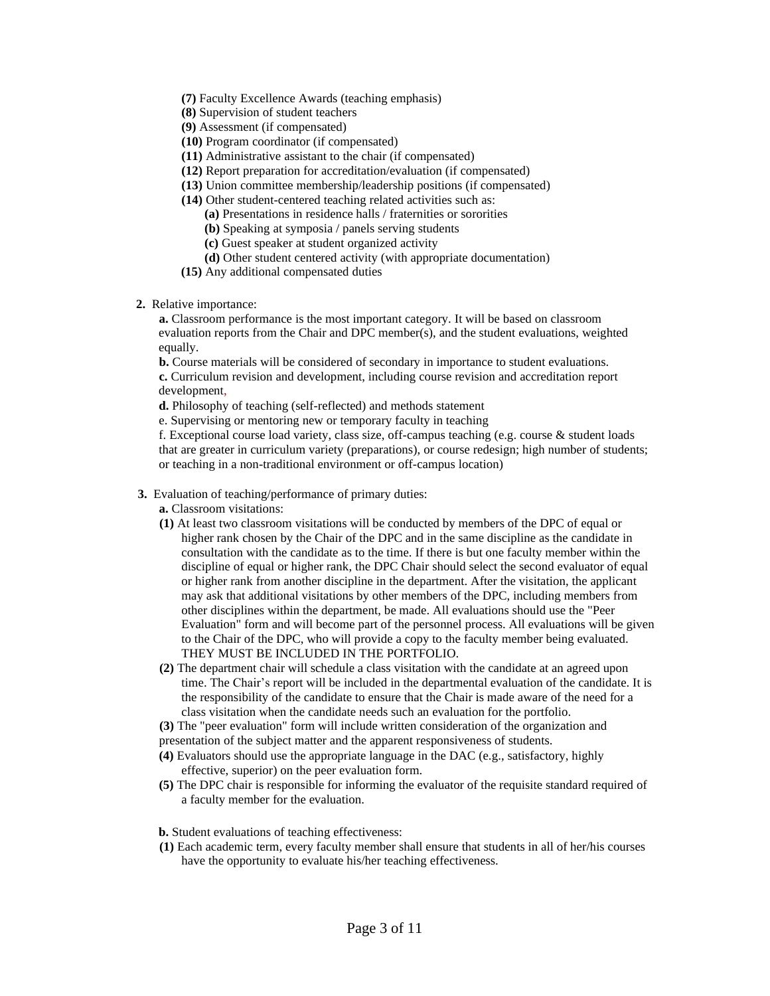- **(7)** Faculty Excellence Awards (teaching emphasis)
- **(8)** Supervision of student teachers
- **(9)** Assessment (if compensated)
- **(10)** Program coordinator (if compensated)
- **(11)** Administrative assistant to the chair (if compensated)
- **(12)** Report preparation for accreditation/evaluation (if compensated)
- **(13)** Union committee membership/leadership positions (if compensated)
- **(14)** Other student-centered teaching related activities such as:
	- **(a)** Presentations in residence halls / fraternities or sororities
	- **(b)** Speaking at symposia / panels serving students
	- **(c)** Guest speaker at student organized activity
	- **(d)** Other student centered activity (with appropriate documentation)
- **(15)** Any additional compensated duties
- **2.** Relative importance:

**a.** Classroom performance is the most important category. It will be based on classroom evaluation reports from the Chair and DPC member(s), and the student evaluations, weighted equally.

**b.** Course materials will be considered of secondary in importance to student evaluations. **c.** Curriculum revision and development, including course revision and accreditation report development,

**d.** Philosophy of teaching (self-reflected) and methods statement

e. Supervising or mentoring new or temporary faculty in teaching

f. Exceptional course load variety, class size, off-campus teaching (e.g. course  $&$  student loads that are greater in curriculum variety (preparations), or course redesign; high number of students; or teaching in a non-traditional environment or off-campus location)

- **3.** Evaluation of teaching/performance of primary duties:
	- **a.** Classroom visitations:
	- **(1)** At least two classroom visitations will be conducted by members of the DPC of equal or higher rank chosen by the Chair of the DPC and in the same discipline as the candidate in consultation with the candidate as to the time. If there is but one faculty member within the discipline of equal or higher rank, the DPC Chair should select the second evaluator of equal or higher rank from another discipline in the department. After the visitation, the applicant may ask that additional visitations by other members of the DPC, including members from other disciplines within the department, be made. All evaluations should use the "Peer Evaluation" form and will become part of the personnel process. All evaluations will be given to the Chair of the DPC, who will provide a copy to the faculty member being evaluated. THEY MUST BE INCLUDED IN THE PORTFOLIO.
	- **(2)** The department chair will schedule a class visitation with the candidate at an agreed upon time. The Chair's report will be included in the departmental evaluation of the candidate. It is the responsibility of the candidate to ensure that the Chair is made aware of the need for a class visitation when the candidate needs such an evaluation for the portfolio.
	- **(3)** The "peer evaluation" form will include written consideration of the organization and
	- presentation of the subject matter and the apparent responsiveness of students.
	- **(4)** Evaluators should use the appropriate language in the DAC (e.g., satisfactory, highly effective, superior) on the peer evaluation form.
	- **(5)** The DPC chair is responsible for informing the evaluator of the requisite standard required of a faculty member for the evaluation.
	- **b.** Student evaluations of teaching effectiveness:
	- **(1)** Each academic term, every faculty member shall ensure that students in all of her/his courses have the opportunity to evaluate his/her teaching effectiveness.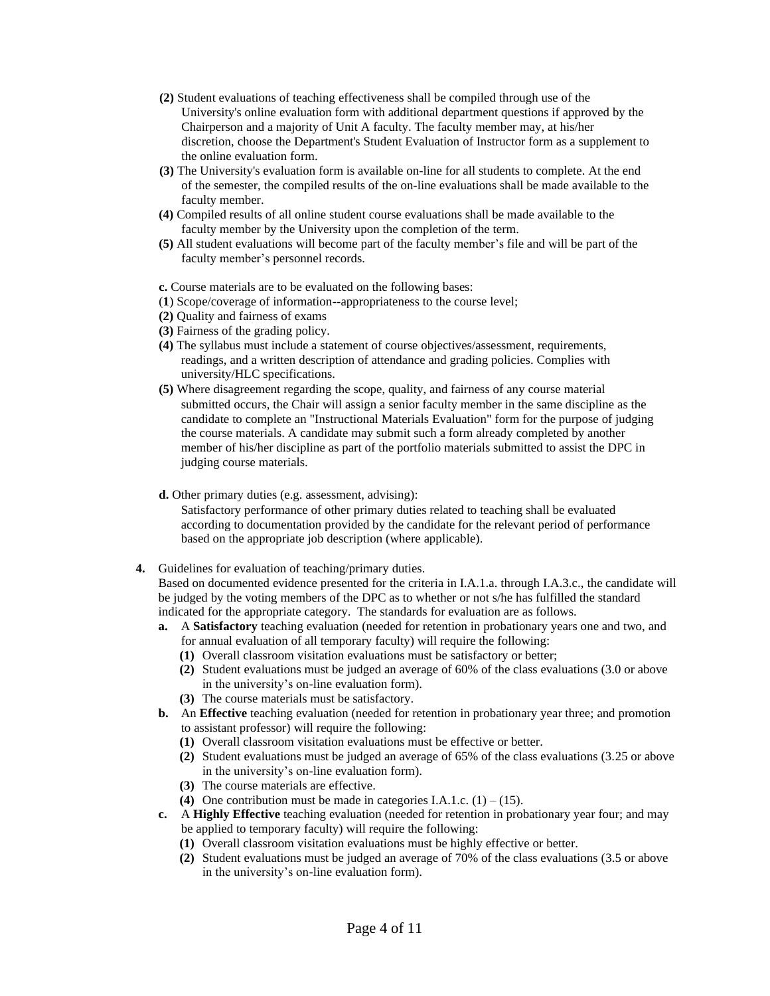- **(2)** Student evaluations of teaching effectiveness shall be compiled through use of the University's online evaluation form with additional department questions if approved by the Chairperson and a majority of Unit A faculty. The faculty member may, at his/her discretion, choose the Department's Student Evaluation of Instructor form as a supplement to the online evaluation form.
- **(3)** The University's evaluation form is available on-line for all students to complete. At the end of the semester, the compiled results of the on-line evaluations shall be made available to the faculty member.
- **(4)** Compiled results of all online student course evaluations shall be made available to the faculty member by the University upon the completion of the term.
- **(5)** All student evaluations will become part of the faculty member's file and will be part of the faculty member's personnel records.

**c.** Course materials are to be evaluated on the following bases:

- (**1**) Scope/coverage of information--appropriateness to the course level;
- **(2)** Quality and fairness of exams
- **(3)** Fairness of the grading policy.
- **(4)** The syllabus must include a statement of course objectives/assessment, requirements, readings, and a written description of attendance and grading policies. Complies with university/HLC specifications.
- **(5)** Where disagreement regarding the scope, quality, and fairness of any course material submitted occurs, the Chair will assign a senior faculty member in the same discipline as the candidate to complete an "Instructional Materials Evaluation" form for the purpose of judging the course materials. A candidate may submit such a form already completed by another member of his/her discipline as part of the portfolio materials submitted to assist the DPC in judging course materials.
- **d.** Other primary duties (e.g. assessment, advising):

Satisfactory performance of other primary duties related to teaching shall be evaluated according to documentation provided by the candidate for the relevant period of performance based on the appropriate job description (where applicable).

**4.** Guidelines for evaluation of teaching/primary duties.

Based on documented evidence presented for the criteria in I.A.1.a. through I.A.3.c., the candidate will be judged by the voting members of the DPC as to whether or not s/he has fulfilled the standard indicated for the appropriate category. The standards for evaluation are as follows.

- **a.** A **Satisfactory** teaching evaluation (needed for retention in probationary years one and two, and for annual evaluation of all temporary faculty) will require the following:
	- **(1)** Overall classroom visitation evaluations must be satisfactory or better;
	- **(2)** Student evaluations must be judged an average of 60% of the class evaluations (3.0 or above in the university's on-line evaluation form).
	- **(3)** The course materials must be satisfactory.
- **b.** An **Effective** teaching evaluation (needed for retention in probationary year three; and promotion to assistant professor) will require the following:
	- **(1)** Overall classroom visitation evaluations must be effective or better.
	- **(2)** Student evaluations must be judged an average of 65% of the class evaluations (3.25 or above in the university's on-line evaluation form).
	- **(3)** The course materials are effective.
	- **(4)** One contribution must be made in categories I.A.1.c.  $(1) (15)$ .
- **c.** A **Highly Effective** teaching evaluation (needed for retention in probationary year four; and may be applied to temporary faculty) will require the following:
	- **(1)** Overall classroom visitation evaluations must be highly effective or better.
	- **(2)** Student evaluations must be judged an average of 70% of the class evaluations (3.5 or above in the university's on-line evaluation form).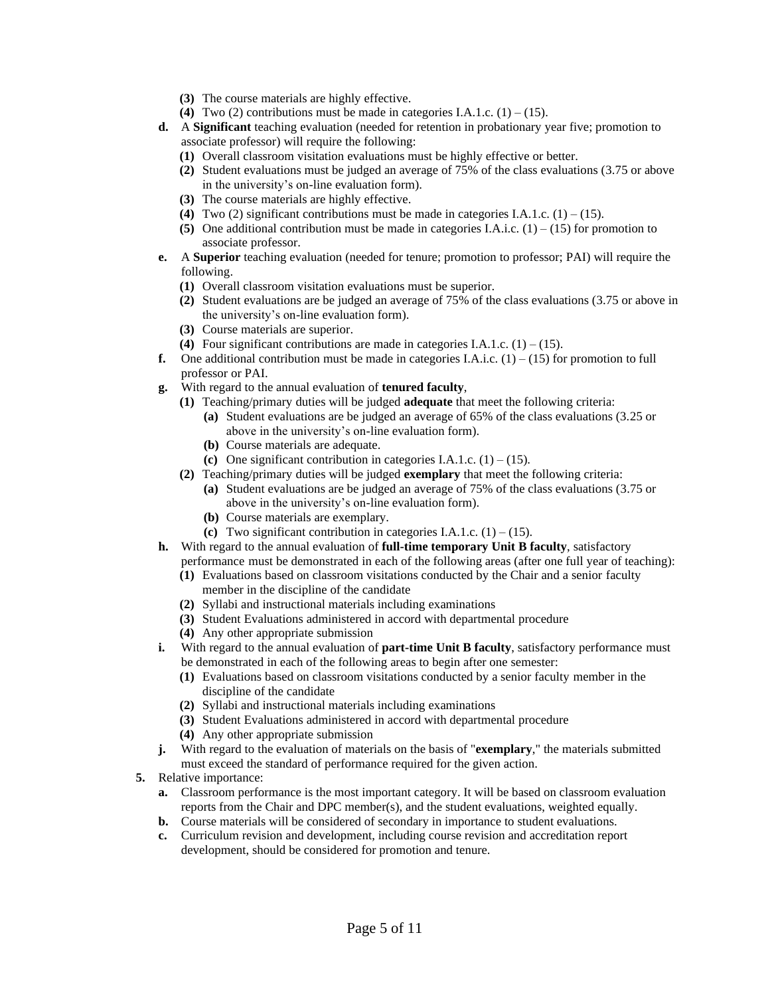- **(3)** The course materials are highly effective.
- **(4)** Two (2) contributions must be made in categories I.A.1.c.  $(1) (15)$ .
- **d.** A **Significant** teaching evaluation (needed for retention in probationary year five; promotion to associate professor) will require the following:
	- **(1)** Overall classroom visitation evaluations must be highly effective or better.
	- **(2)** Student evaluations must be judged an average of 75% of the class evaluations (3.75 or above in the university's on-line evaluation form).
	- **(3)** The course materials are highly effective.
	- **(4)** Two (2) significant contributions must be made in categories I.A.1.c.  $(1) (15)$ .
	- **(5)** One additional contribution must be made in categories I.A.i.c.  $(1) (15)$  for promotion to associate professor.
- **e.** A **Superior** teaching evaluation (needed for tenure; promotion to professor; PAI) will require the following.
	- **(1)** Overall classroom visitation evaluations must be superior.
	- **(2)** Student evaluations are be judged an average of 75% of the class evaluations (3.75 or above in the university's on-line evaluation form).
	- **(3)** Course materials are superior.
	- **(4)** Four significant contributions are made in categories I.A.1.c.  $(1) (15)$ .
- **f.** One additional contribution must be made in categories I.A.i.c.  $(1) (15)$  for promotion to full professor or PAI.
- **g.** With regard to the annual evaluation of **tenured faculty**,
	- **(1)** Teaching/primary duties will be judged **adequate** that meet the following criteria:
		- **(a)** Student evaluations are be judged an average of 65% of the class evaluations (3.25 or above in the university's on-line evaluation form).
		- **(b)** Course materials are adequate.
		- **(c)** One significant contribution in categories I.A.1.c.  $(1) (15)$ .
	- **(2)** Teaching/primary duties will be judged **exemplary** that meet the following criteria: **(a)** Student evaluations are be judged an average of 75% of the class evaluations (3.75 or above in the university's on-line evaluation form).
		- **(b)** Course materials are exemplary.
		- **(c)** Two significant contribution in categories I.A.1.c.  $(1) (15)$ .
- **h.** With regard to the annual evaluation of **full-time temporary Unit B faculty**, satisfactory performance must be demonstrated in each of the following areas (after one full year of teaching):
	- **(1)** Evaluations based on classroom visitations conducted by the Chair and a senior faculty member in the discipline of the candidate
	- **(2)** Syllabi and instructional materials including examinations
	- **(3)** Student Evaluations administered in accord with departmental procedure
	- **(4)** Any other appropriate submission
- **i.** With regard to the annual evaluation of **part-time Unit B faculty**, satisfactory performance must be demonstrated in each of the following areas to begin after one semester:
	- **(1)** Evaluations based on classroom visitations conducted by a senior faculty member in the discipline of the candidate
	- **(2)** Syllabi and instructional materials including examinations
	- **(3)** Student Evaluations administered in accord with departmental procedure
	- **(4)** Any other appropriate submission
- **j.** With regard to the evaluation of materials on the basis of "**exemplary**," the materials submitted must exceed the standard of performance required for the given action.
- **5.** Relative importance:
	- **a.** Classroom performance is the most important category. It will be based on classroom evaluation reports from the Chair and DPC member(s), and the student evaluations, weighted equally.
	- **b.** Course materials will be considered of secondary in importance to student evaluations.
	- **c.** Curriculum revision and development, including course revision and accreditation report development, should be considered for promotion and tenure.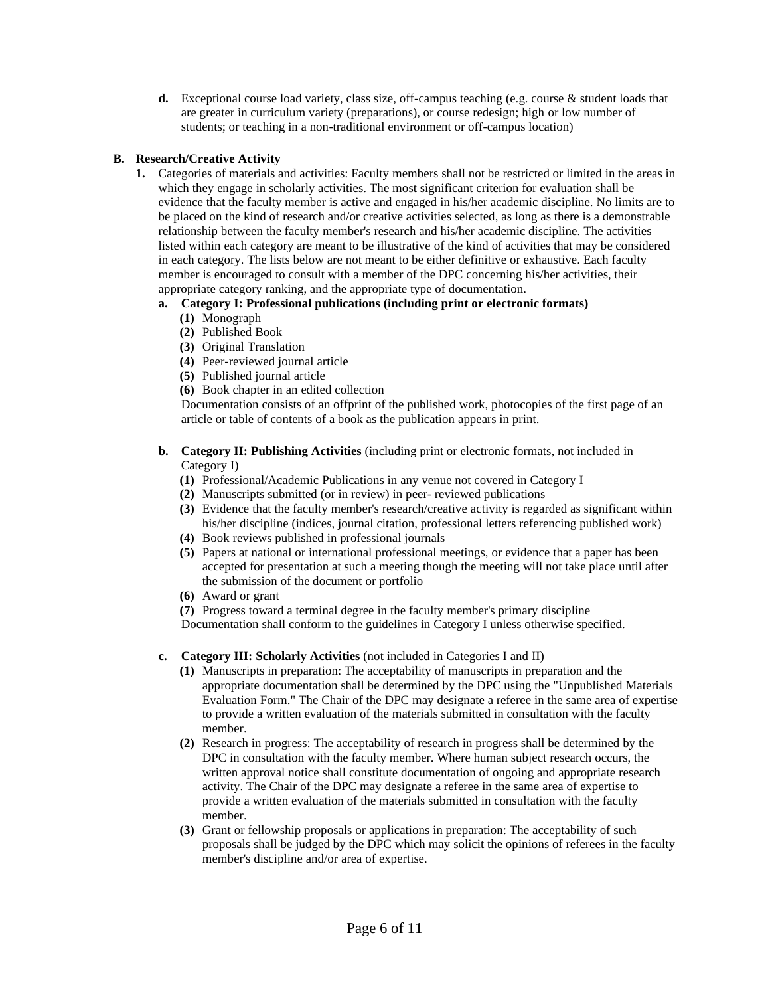**d.** Exceptional course load variety, class size, off-campus teaching (e.g. course & student loads that are greater in curriculum variety (preparations), or course redesign; high or low number of students; or teaching in a non-traditional environment or off-campus location)

## **B. Research/Creative Activity**

**1.** Categories of materials and activities: Faculty members shall not be restricted or limited in the areas in which they engage in scholarly activities. The most significant criterion for evaluation shall be evidence that the faculty member is active and engaged in his/her academic discipline. No limits are to be placed on the kind of research and/or creative activities selected, as long as there is a demonstrable relationship between the faculty member's research and his/her academic discipline. The activities listed within each category are meant to be illustrative of the kind of activities that may be considered in each category. The lists below are not meant to be either definitive or exhaustive. Each faculty member is encouraged to consult with a member of the DPC concerning his/her activities, their appropriate category ranking, and the appropriate type of documentation.

## **a. Category I: Professional publications (including print or electronic formats)**

- **(1)** Monograph
- **(2)** Published Book
- **(3)** Original Translation
- **(4)** Peer-reviewed journal article
- **(5)** Published journal article
- **(6)** Book chapter in an edited collection

Documentation consists of an offprint of the published work, photocopies of the first page of an article or table of contents of a book as the publication appears in print.

- **b. Category II: Publishing Activities** (including print or electronic formats, not included in Category I)
	- **(1)** Professional/Academic Publications in any venue not covered in Category I
	- **(2)** Manuscripts submitted (or in review) in peer- reviewed publications
	- **(3)** Evidence that the faculty member's research/creative activity is regarded as significant within his/her discipline (indices, journal citation, professional letters referencing published work)
	- **(4)** Book reviews published in professional journals
	- **(5)** Papers at national or international professional meetings, or evidence that a paper has been accepted for presentation at such a meeting though the meeting will not take place until after the submission of the document or portfolio
	- **(6)** Award or grant
	- **(7)** Progress toward a terminal degree in the faculty member's primary discipline

Documentation shall conform to the guidelines in Category I unless otherwise specified.

- **c. Category III: Scholarly Activities** (not included in Categories I and II)
	- **(1)** Manuscripts in preparation: The acceptability of manuscripts in preparation and the appropriate documentation shall be determined by the DPC using the "Unpublished Materials Evaluation Form." The Chair of the DPC may designate a referee in the same area of expertise to provide a written evaluation of the materials submitted in consultation with the faculty member.
	- **(2)** Research in progress: The acceptability of research in progress shall be determined by the DPC in consultation with the faculty member. Where human subject research occurs, the written approval notice shall constitute documentation of ongoing and appropriate research activity. The Chair of the DPC may designate a referee in the same area of expertise to provide a written evaluation of the materials submitted in consultation with the faculty member.
	- **(3)** Grant or fellowship proposals or applications in preparation: The acceptability of such proposals shall be judged by the DPC which may solicit the opinions of referees in the faculty member's discipline and/or area of expertise.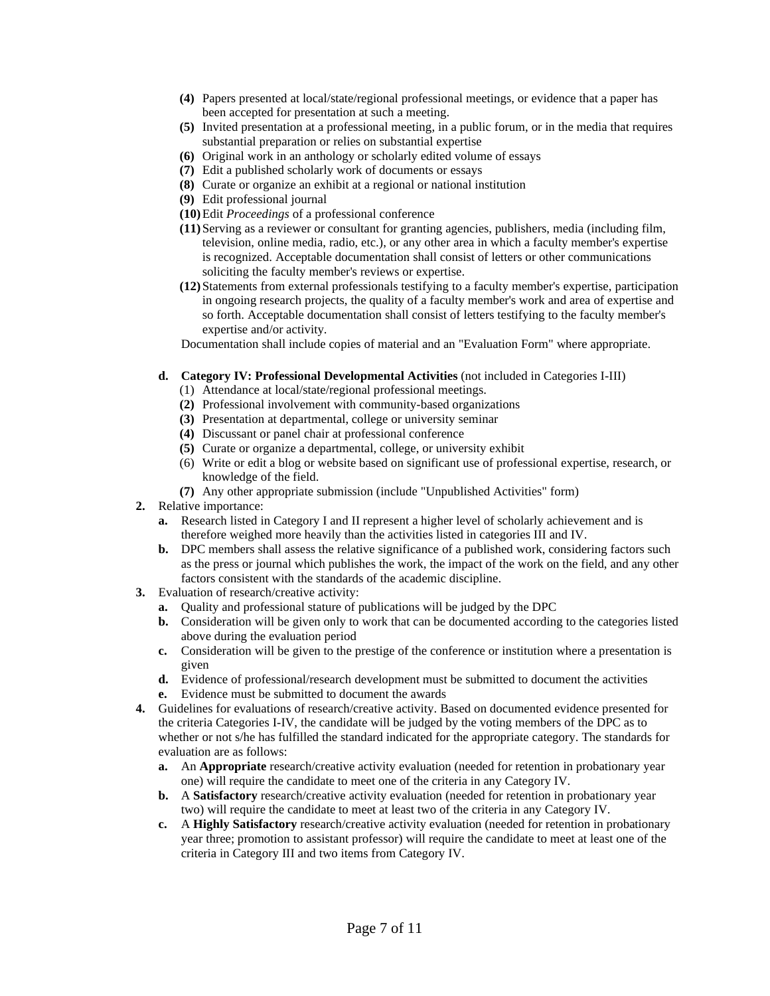- **(4)** Papers presented at local/state/regional professional meetings, or evidence that a paper has been accepted for presentation at such a meeting.
- **(5)** Invited presentation at a professional meeting, in a public forum, or in the media that requires substantial preparation or relies on substantial expertise
- **(6)** Original work in an anthology or scholarly edited volume of essays
- **(7)** Edit a published scholarly work of documents or essays
- **(8)** Curate or organize an exhibit at a regional or national institution
- **(9)** Edit professional journal
- **(10)**Edit *Proceedings* of a professional conference
- **(11)**Serving as a reviewer or consultant for granting agencies, publishers, media (including film, television, online media, radio, etc.), or any other area in which a faculty member's expertise is recognized. Acceptable documentation shall consist of letters or other communications soliciting the faculty member's reviews or expertise.
- **(12)**Statements from external professionals testifying to a faculty member's expertise, participation in ongoing research projects, the quality of a faculty member's work and area of expertise and so forth. Acceptable documentation shall consist of letters testifying to the faculty member's expertise and/or activity.

Documentation shall include copies of material and an "Evaluation Form" where appropriate.

- **d. Category IV: Professional Developmental Activities** (not included in Categories I-III)
	- (1) Attendance at local/state/regional professional meetings.
	- **(2)** Professional involvement with community-based organizations
	- **(3)** Presentation at departmental, college or university seminar
	- **(4)** Discussant or panel chair at professional conference
	- **(5)** Curate or organize a departmental, college, or university exhibit
	- (6) Write or edit a blog or website based on significant use of professional expertise, research, or knowledge of the field.
	- **(7)** Any other appropriate submission (include "Unpublished Activities" form)
- **2.** Relative importance:
	- **a.** Research listed in Category I and II represent a higher level of scholarly achievement and is therefore weighed more heavily than the activities listed in categories III and IV.
	- **b.** DPC members shall assess the relative significance of a published work, considering factors such as the press or journal which publishes the work, the impact of the work on the field, and any other factors consistent with the standards of the academic discipline.
- **3.** Evaluation of research/creative activity:
	- **a.** Quality and professional stature of publications will be judged by the DPC
	- **b.** Consideration will be given only to work that can be documented according to the categories listed above during the evaluation period
	- **c.** Consideration will be given to the prestige of the conference or institution where a presentation is given
	- **d.** Evidence of professional/research development must be submitted to document the activities
	- **e.** Evidence must be submitted to document the awards
- **4.** Guidelines for evaluations of research/creative activity. Based on documented evidence presented for the criteria Categories I-IV, the candidate will be judged by the voting members of the DPC as to whether or not s/he has fulfilled the standard indicated for the appropriate category. The standards for evaluation are as follows:
	- **a.** An **Appropriate** research/creative activity evaluation (needed for retention in probationary year one) will require the candidate to meet one of the criteria in any Category IV.
	- **b.** A **Satisfactory** research/creative activity evaluation (needed for retention in probationary year two) will require the candidate to meet at least two of the criteria in any Category IV.
	- **c.** A **Highly Satisfactory** research/creative activity evaluation (needed for retention in probationary year three; promotion to assistant professor) will require the candidate to meet at least one of the criteria in Category III and two items from Category IV.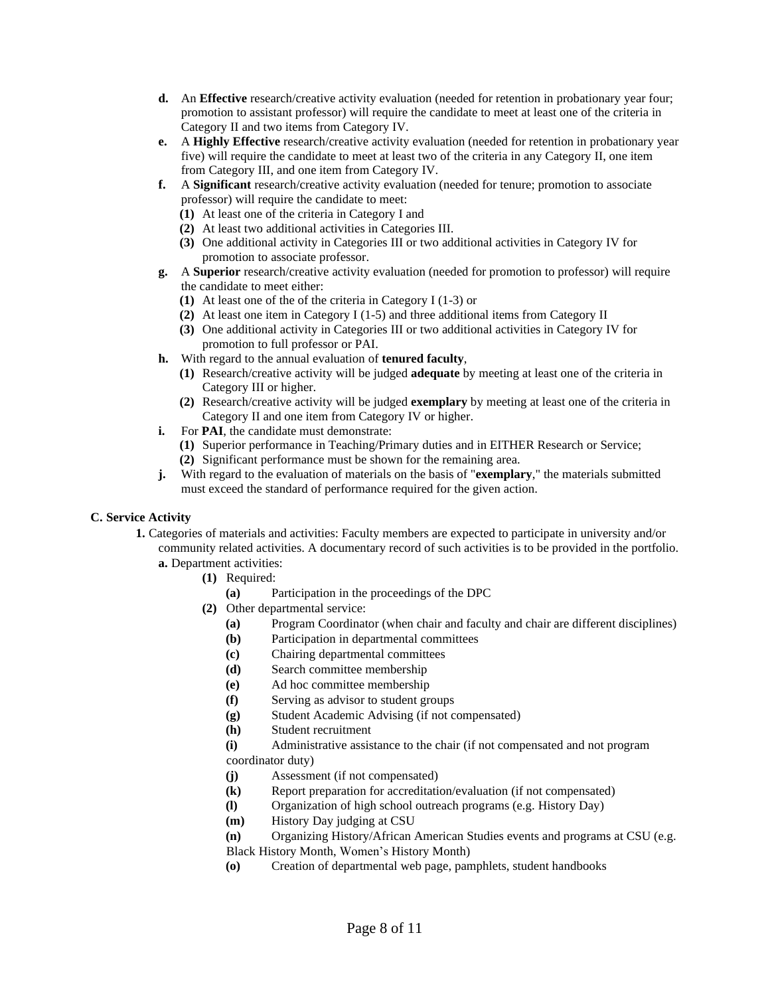- **d.** An **Effective** research/creative activity evaluation (needed for retention in probationary year four; promotion to assistant professor) will require the candidate to meet at least one of the criteria in Category II and two items from Category IV.
- **e.** A **Highly Effective** research/creative activity evaluation (needed for retention in probationary year five) will require the candidate to meet at least two of the criteria in any Category II, one item from Category III, and one item from Category IV.
- **f.** A **Significant** research/creative activity evaluation (needed for tenure; promotion to associate professor) will require the candidate to meet:
	- **(1)** At least one of the criteria in Category I and
	- **(2)** At least two additional activities in Categories III.
	- **(3)** One additional activity in Categories III or two additional activities in Category IV for promotion to associate professor.
- **g.** A **Superior** research/creative activity evaluation (needed for promotion to professor) will require the candidate to meet either:
	- **(1)** At least one of the of the criteria in Category I (1-3) or
	- **(2)** At least one item in Category I (1-5) and three additional items from Category II
	- **(3)** One additional activity in Categories III or two additional activities in Category IV for promotion to full professor or PAI.
- **h.** With regard to the annual evaluation of **tenured faculty**,
	- **(1)** Research/creative activity will be judged **adequate** by meeting at least one of the criteria in Category III or higher.
	- **(2)** Research/creative activity will be judged **exemplary** by meeting at least one of the criteria in Category II and one item from Category IV or higher.
- **i.** For **PAI**, the candidate must demonstrate:
	- **(1)** Superior performance in Teaching/Primary duties and in EITHER Research or Service; **(2)** Significant performance must be shown for the remaining area.
- **j.** With regard to the evaluation of materials on the basis of "**exemplary**," the materials submitted must exceed the standard of performance required for the given action.

## **C. Service Activity**

- **1.** Categories of materials and activities: Faculty members are expected to participate in university and/or community related activities. A documentary record of such activities is to be provided in the portfolio. **a.** Department activities:
	- **(1)** Required:
		- **(a)** Participation in the proceedings of the DPC
		- **(2)** Other departmental service:
			- **(a)** Program Coordinator (when chair and faculty and chair are different disciplines)
			- **(b)** Participation in departmental committees
			- **(c)** Chairing departmental committees
			- **(d)** Search committee membership
			- **(e)** Ad hoc committee membership
			- **(f)** Serving as advisor to student groups
			- **(g)** Student Academic Advising (if not compensated)
			- **(h)** Student recruitment
			- **(i)** Administrative assistance to the chair (if not compensated and not program coordinator duty)
			- **(j)** Assessment (if not compensated)
			- **(k)** Report preparation for accreditation/evaluation (if not compensated)
			- **(l)** Organization of high school outreach programs (e.g. History Day)
			- **(m)** History Day judging at CSU
			- **(n)** Organizing History/African American Studies events and programs at CSU (e.g.
			- Black History Month, Women's History Month)
			- **(o)** Creation of departmental web page, pamphlets, student handbooks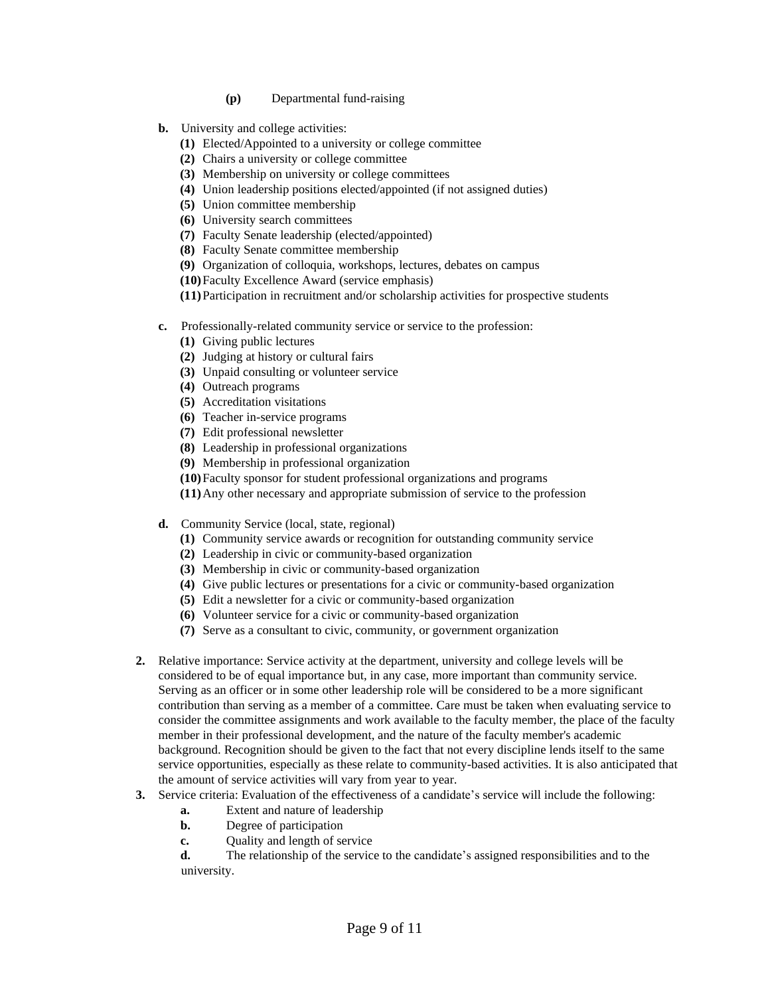- **(p)** Departmental fund-raising
- **b.** University and college activities:
	- **(1)** Elected/Appointed to a university or college committee
	- **(2)** Chairs a university or college committee
	- **(3)** Membership on university or college committees
	- **(4)** Union leadership positions elected/appointed (if not assigned duties)
	- **(5)** Union committee membership
	- **(6)** University search committees
	- **(7)** Faculty Senate leadership (elected/appointed)
	- **(8)** Faculty Senate committee membership
	- **(9)** Organization of colloquia, workshops, lectures, debates on campus
	- **(10)**Faculty Excellence Award (service emphasis)
	- **(11)**Participation in recruitment and/or scholarship activities for prospective students
- **c.** Professionally-related community service or service to the profession:
	- **(1)** Giving public lectures
	- **(2)** Judging at history or cultural fairs
	- **(3)** Unpaid consulting or volunteer service
	- **(4)** Outreach programs
	- **(5)** Accreditation visitations
	- **(6)** Teacher in-service programs
	- **(7)** Edit professional newsletter
	- **(8)** Leadership in professional organizations
	- **(9)** Membership in professional organization
	- **(10)**Faculty sponsor for student professional organizations and programs
	- **(11)**Any other necessary and appropriate submission of service to the profession
- **d.** Community Service (local, state, regional)
	- **(1)** Community service awards or recognition for outstanding community service
	- **(2)** Leadership in civic or community-based organization
	- **(3)** Membership in civic or community-based organization
	- **(4)** Give public lectures or presentations for a civic or community-based organization
	- **(5)** Edit a newsletter for a civic or community-based organization
	- **(6)** Volunteer service for a civic or community-based organization
	- **(7)** Serve as a consultant to civic, community, or government organization
- **2.** Relative importance: Service activity at the department, university and college levels will be considered to be of equal importance but, in any case, more important than community service. Serving as an officer or in some other leadership role will be considered to be a more significant contribution than serving as a member of a committee. Care must be taken when evaluating service to consider the committee assignments and work available to the faculty member, the place of the faculty member in their professional development, and the nature of the faculty member's academic background. Recognition should be given to the fact that not every discipline lends itself to the same service opportunities, especially as these relate to community-based activities. It is also anticipated that the amount of service activities will vary from year to year.
- **3.** Service criteria: Evaluation of the effectiveness of a candidate's service will include the following:
	- **a.** Extent and nature of leadership
	- **b.** Degree of participation
	- **c.** Quality and length of service

**d.** The relationship of the service to the candidate's assigned responsibilities and to the university.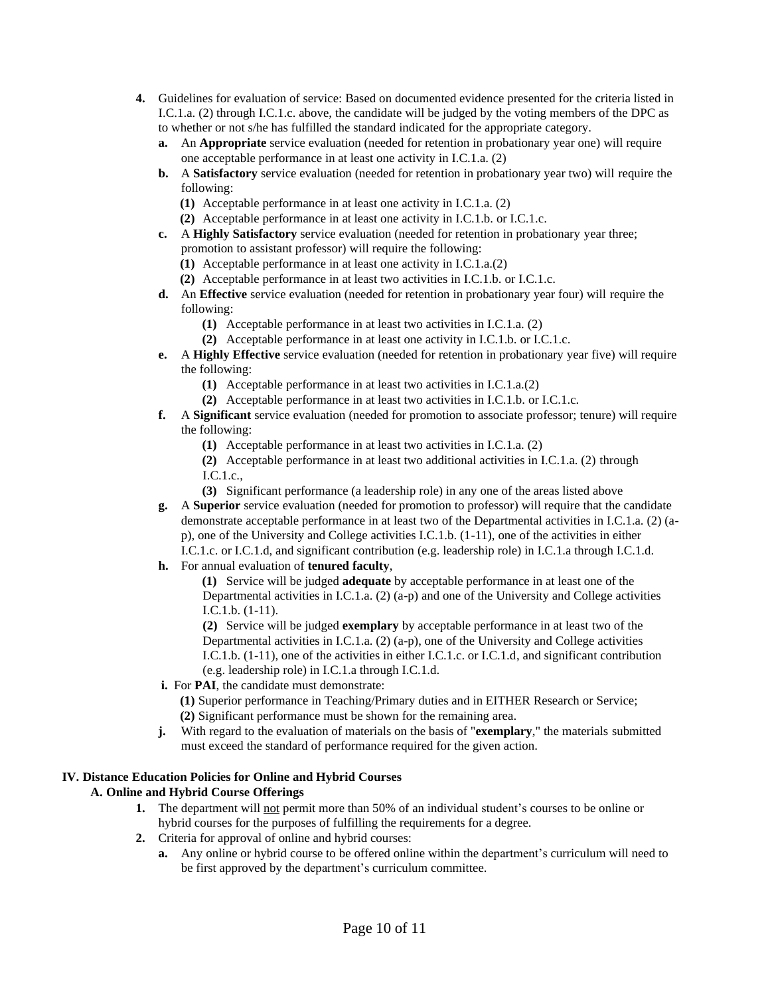- **4.** Guidelines for evaluation of service: Based on documented evidence presented for the criteria listed in I.C.1.a. (2) through I.C.1.c. above, the candidate will be judged by the voting members of the DPC as to whether or not s/he has fulfilled the standard indicated for the appropriate category.
	- **a.** An **Appropriate** service evaluation (needed for retention in probationary year one) will require one acceptable performance in at least one activity in I.C.1.a. (2)
	- **b.** A **Satisfactory** service evaluation (needed for retention in probationary year two) will require the following:
		- **(1)** Acceptable performance in at least one activity in I.C.1.a. (2)
		- **(2)** Acceptable performance in at least one activity in I.C.1.b. or I.C.1.c.
	- **c.** A **Highly Satisfactory** service evaluation (needed for retention in probationary year three; promotion to assistant professor) will require the following:
		- **(1)** Acceptable performance in at least one activity in I.C.1.a.(2)
		- **(2)** Acceptable performance in at least two activities in I.C.1.b. or I.C.1.c.
	- **d.** An **Effective** service evaluation (needed for retention in probationary year four) will require the following:
		- **(1)** Acceptable performance in at least two activities in I.C.1.a. (2)
		- **(2)** Acceptable performance in at least one activity in I.C.1.b. or I.C.1.c.
	- **e.** A **Highly Effective** service evaluation (needed for retention in probationary year five) will require the following:
		- **(1)** Acceptable performance in at least two activities in I.C.1.a.(2)
		- **(2)** Acceptable performance in at least two activities in I.C.1.b. or I.C.1.c.
	- **f.** A **Significant** service evaluation (needed for promotion to associate professor; tenure) will require the following:
		- **(1)** Acceptable performance in at least two activities in I.C.1.a. (2)
		- **(2)** Acceptable performance in at least two additional activities in I.C.1.a. (2) through I.C.1.c.,
		- **(3)** Significant performance (a leadership role) in any one of the areas listed above
	- **g.** A **Superior** service evaluation (needed for promotion to professor) will require that the candidate demonstrate acceptable performance in at least two of the Departmental activities in I.C.1.a. (2) (ap), one of the University and College activities I.C.1.b. (1-11), one of the activities in either I.C.1.c. or I.C.1.d, and significant contribution (e.g. leadership role) in I.C.1.a through I.C.1.d.
	- **h.** For annual evaluation of **tenured faculty**,

**(1)** Service will be judged **adequate** by acceptable performance in at least one of the Departmental activities in I.C.1.a. (2) (a-p) and one of the University and College activities I.C.1.b. (1-11).

**(2)** Service will be judged **exemplary** by acceptable performance in at least two of the Departmental activities in I.C.1.a. (2) (a-p), one of the University and College activities I.C.1.b. (1-11), one of the activities in either I.C.1.c. or I.C.1.d, and significant contribution (e.g. leadership role) in I.C.1.a through I.C.1.d.

 **i.** For **PAI**, the candidate must demonstrate:

**(1)** Superior performance in Teaching/Primary duties and in EITHER Research or Service; **(2)** Significant performance must be shown for the remaining area.

**j.** With regard to the evaluation of materials on the basis of "**exemplary**," the materials submitted must exceed the standard of performance required for the given action.

## **IV. Distance Education Policies for Online and Hybrid Courses**

## **A. Online and Hybrid Course Offerings**

- **1.** The department will not permit more than 50% of an individual student's courses to be online or hybrid courses for the purposes of fulfilling the requirements for a degree.
- **2.** Criteria for approval of online and hybrid courses:
	- **a.** Any online or hybrid course to be offered online within the department's curriculum will need to be first approved by the department's curriculum committee.